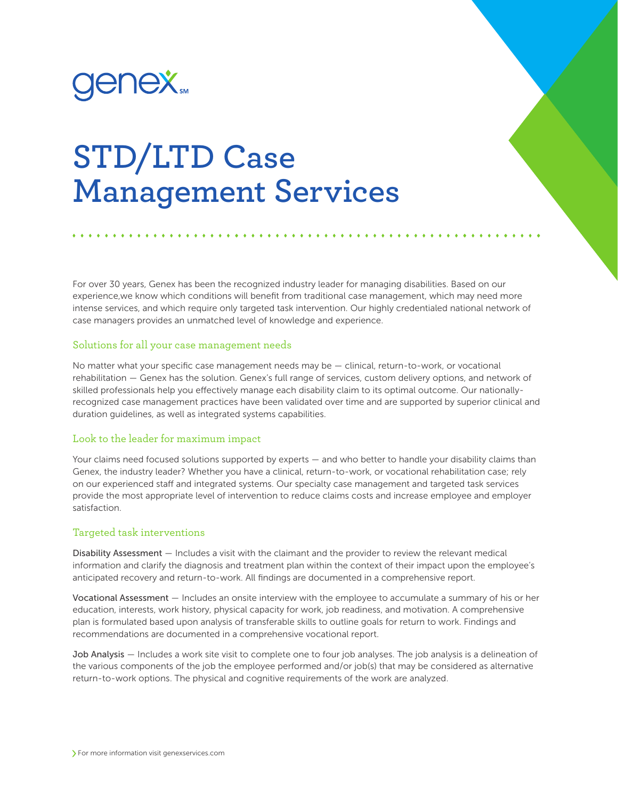

## **STD/LTD Case Management Services**

For over 30 years, Genex has been the recognized industry leader for managing disabilities. Based on our experience,we know which conditions will benefit from traditional case management, which may need more intense services, and which require only targeted task intervention. Our highly credentialed national network of case managers provides an unmatched level of knowledge and experience.

## Solutions for all your case management needs

No matter what your specific case management needs may be — clinical, return-to-work, or vocational rehabilitation — Genex has the solution. Genex's full range of services, custom delivery options, and network of skilled professionals help you effectively manage each disability claim to its optimal outcome. Our nationallyrecognized case management practices have been validated over time and are supported by superior clinical and duration guidelines, as well as integrated systems capabilities.

## Look to the leader for maximum impact

Your claims need focused solutions supported by experts — and who better to handle your disability claims than Genex, the industry leader? Whether you have a clinical, return-to-work, or vocational rehabilitation case; rely on our experienced staff and integrated systems. Our specialty case management and targeted task services provide the most appropriate level of intervention to reduce claims costs and increase employee and employer satisfaction.

## Targeted task interventions

Disability Assessment — Includes a visit with the claimant and the provider to review the relevant medical information and clarify the diagnosis and treatment plan within the context of their impact upon the employee's anticipated recovery and return-to-work. All findings are documented in a comprehensive report.

Vocational Assessment — Includes an onsite interview with the employee to accumulate a summary of his or her education, interests, work history, physical capacity for work, job readiness, and motivation. A comprehensive plan is formulated based upon analysis of transferable skills to outline goals for return to work. Findings and recommendations are documented in a comprehensive vocational report.

Job Analysis — Includes a work site visit to complete one to four job analyses. The job analysis is a delineation of the various components of the job the employee performed and/or job(s) that may be considered as alternative return-to-work options. The physical and cognitive requirements of the work are analyzed.